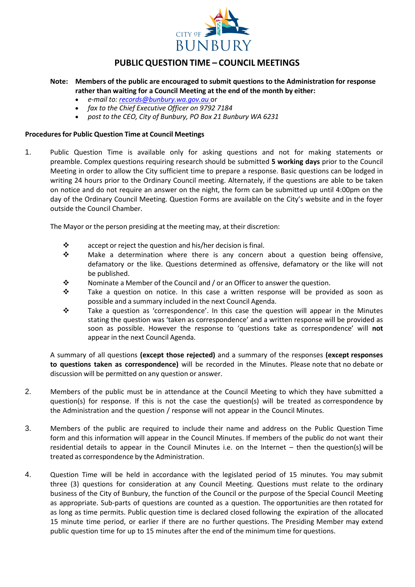

## **PUBLIC QUESTION TIME – COUNCIL MEETINGS**

- **Note: Members of the public are encouraged to submit questions to the Administration for response rather than waiting for a Council Meeting at the end of the month by either:**
	- *e-mail to: [records@bunbury.wa.gov.au](mailto:records@bunbury.wa.gov.au)* or
	- *fax to the Chief Executive Officer on 9792 7184*
	- *post to the CEO, City of Bunbury, PO Box 21 Bunbury WA 6231*

## **Procedures for Public Question Time at Council Meetings**

1. Public Question Time is available only for asking questions and not for making statements or preamble. Complex questions requiring research should be submitted **5 working days** prior to the Council Meeting in order to allow the City sufficient time to prepare a response. Basic questions can be lodged in writing 24 hours prior to the Ordinary Council meeting. Alternately, if the questions are able to be taken on notice and do not require an answer on the night, the form can be submitted up until 4:00pm on the day of the Ordinary Council Meeting. Question Forms are available on the City's website and in the foyer outside the Council Chamber.

The Mayor or the person presiding at the meeting may, at their discretion:

- $\mathbf{\hat{P}}$  accept or reject the question and his/her decision is final.
- $\div$  Make a determination where there is any concern about a question being offensive, defamatory or the like. Questions determined as offensive, defamatory or the like will not be published.
- $\mathbf{\hat{P}}$  Nominate a Member of the Council and / or an Officer to answer the question.
- $\mathbf{\hat{P}}$  Take a question on notice. In this case a written response will be provided as soon as possible and a summary included in the next Council Agenda.
- $\cdot \cdot$  Take a question as 'correspondence'. In this case the question will appear in the Minutes stating the question was 'taken as correspondence' and a written response will be provided as soon as possible. However the response to 'questions take as correspondence' will **not** appear in the next Council Agenda.

A summary of all questions **(except those rejected)** and a summary of the responses **(except responses to questions taken as correspondence)** will be recorded in the Minutes. Please note that no debate or discussion will be permitted on any question or answer.

- 2. Members of the public must be in attendance at the Council Meeting to which they have submitted a question(s) for response. If this is not the case the question(s) will be treated as correspondence by the Administration and the question / response will not appear in the Council Minutes.
- 3. Members of the public are required to include their name and address on the Public Question Time form and this information will appear in the Council Minutes. If members of the public do not want their residential details to appear in the Council Minutes i.e. on the Internet – then the question(s) will be treated as correspondence by the Administration.
- 4. Question Time will be held in accordance with the legislated period of 15 minutes. You may submit three (3) questions for consideration at any Council Meeting. Questions must relate to the ordinary business of the City of Bunbury, the function of the Council or the purpose of the Special Council Meeting as appropriate. Sub-parts of questions are counted as a question. The opportunities are then rotated for as long as time permits. Public question time is declared closed following the expiration of the allocated 15 minute time period, or earlier if there are no further questions. The Presiding Member may extend public question time for up to 15 minutes after the end of the minimum time for questions.